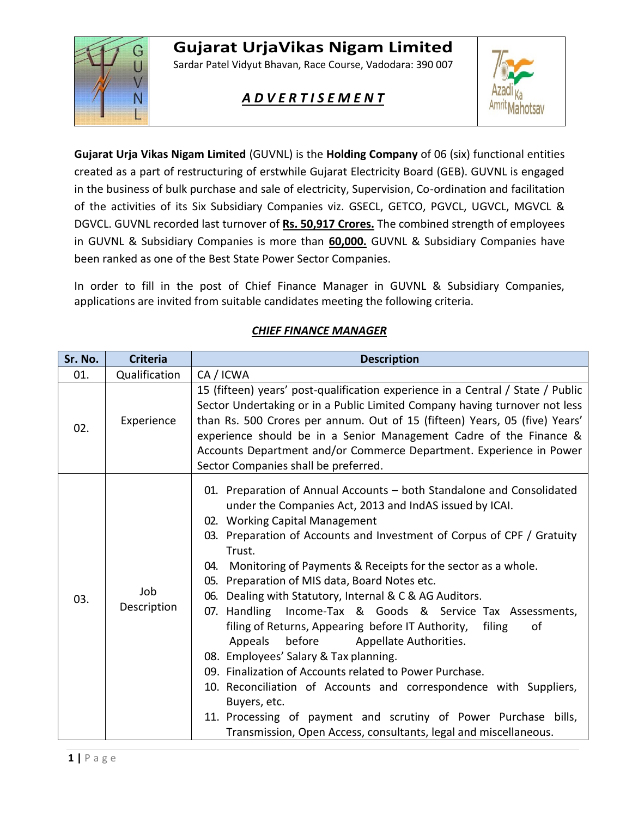# **Gujarat UrjaVikas Nigam Limited**



Sardar Patel Vidyut Bhavan, Race Course, Vadodara: 390 007

# *A D V E R T I S E M E N T*



**Gujarat Urja Vikas Nigam Limited** (GUVNL) is the **Holding Company** of 06 (six) functional entities created as a part of restructuring of erstwhile Gujarat Electricity Board (GEB). GUVNL is engaged in the business of bulk purchase and sale of electricity, Supervision, Co-ordination and facilitation of the activities of its Six Subsidiary Companies viz. GSECL, GETCO, PGVCL, UGVCL, MGVCL & DGVCL. GUVNL recorded last turnover of **Rs. 50,917 Crores.** The combined strength of employees in GUVNL & Subsidiary Companies is more than **60,000.** GUVNL & Subsidiary Companies have been ranked as one of the Best State Power Sector Companies.

In order to fill in the post of Chief Finance Manager in GUVNL & Subsidiary Companies, applications are invited from suitable candidates meeting the following criteria.

| Sr. No. | <b>Criteria</b>    | <b>Description</b>                                                                                                                                                                                                                                                                                                                                                                                                                                                                                                                                                                                                                                                                                                                                                                                                                                                                                                                                       |  |  |  |  |
|---------|--------------------|----------------------------------------------------------------------------------------------------------------------------------------------------------------------------------------------------------------------------------------------------------------------------------------------------------------------------------------------------------------------------------------------------------------------------------------------------------------------------------------------------------------------------------------------------------------------------------------------------------------------------------------------------------------------------------------------------------------------------------------------------------------------------------------------------------------------------------------------------------------------------------------------------------------------------------------------------------|--|--|--|--|
| 01.     | Qualification      | CA / ICWA                                                                                                                                                                                                                                                                                                                                                                                                                                                                                                                                                                                                                                                                                                                                                                                                                                                                                                                                                |  |  |  |  |
| 02.     | Experience         | 15 (fifteen) years' post-qualification experience in a Central / State / Public<br>Sector Undertaking or in a Public Limited Company having turnover not less<br>than Rs. 500 Crores per annum. Out of 15 (fifteen) Years, 05 (five) Years'<br>experience should be in a Senior Management Cadre of the Finance &<br>Accounts Department and/or Commerce Department. Experience in Power<br>Sector Companies shall be preferred.                                                                                                                                                                                                                                                                                                                                                                                                                                                                                                                         |  |  |  |  |
| 03.     | Job<br>Description | 01. Preparation of Annual Accounts - both Standalone and Consolidated<br>under the Companies Act, 2013 and IndAS issued by ICAI.<br>02. Working Capital Management<br>03. Preparation of Accounts and Investment of Corpus of CPF / Gratuity<br>Trust.<br>04. Monitoring of Payments & Receipts for the sector as a whole.<br>05. Preparation of MIS data, Board Notes etc.<br>06. Dealing with Statutory, Internal & C & AG Auditors.<br>07. Handling Income-Tax & Goods & Service Tax Assessments,<br>filing of Returns, Appearing before IT Authority,<br>filing<br>of<br>Appeals<br>before<br>Appellate Authorities.<br>08. Employees' Salary & Tax planning.<br>09. Finalization of Accounts related to Power Purchase.<br>10. Reconciliation of Accounts and correspondence with Suppliers,<br>Buyers, etc.<br>11. Processing of payment and scrutiny of Power Purchase bills,<br>Transmission, Open Access, consultants, legal and miscellaneous. |  |  |  |  |

#### *CHIEF FINANCE MANAGER*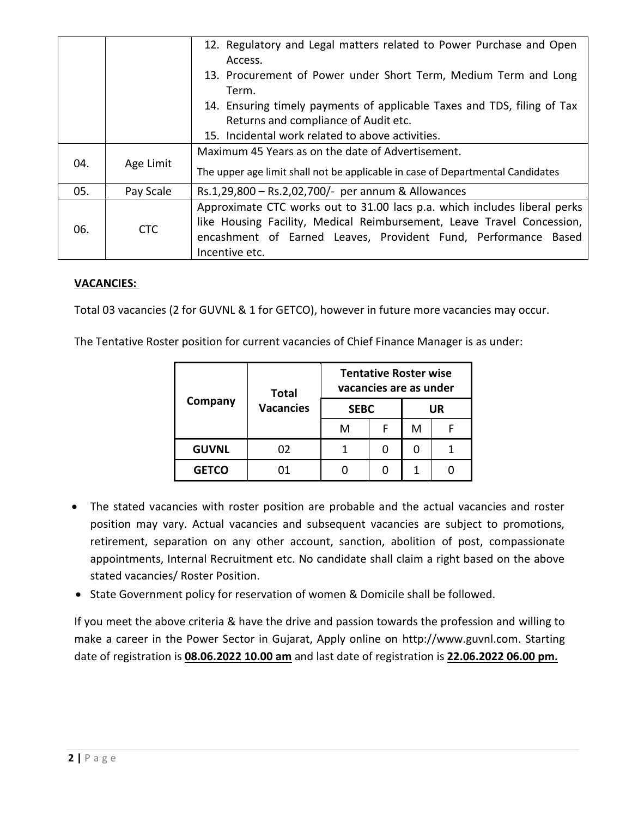|                                      |                                                  | 12. Regulatory and Legal matters related to Power Purchase and Open            |  |  |  |  |  |
|--------------------------------------|--------------------------------------------------|--------------------------------------------------------------------------------|--|--|--|--|--|
|                                      |                                                  | Access.                                                                        |  |  |  |  |  |
|                                      |                                                  | 13. Procurement of Power under Short Term, Medium Term and Long                |  |  |  |  |  |
|                                      |                                                  | Term.                                                                          |  |  |  |  |  |
|                                      |                                                  | 14. Ensuring timely payments of applicable Taxes and TDS, filing of Tax        |  |  |  |  |  |
| Returns and compliance of Audit etc. |                                                  |                                                                                |  |  |  |  |  |
|                                      | 15. Incidental work related to above activities. |                                                                                |  |  |  |  |  |
| 04.                                  | Age Limit                                        | Maximum 45 Years as on the date of Advertisement.                              |  |  |  |  |  |
|                                      |                                                  | The upper age limit shall not be applicable in case of Departmental Candidates |  |  |  |  |  |
| 05.                                  | Pay Scale                                        | Rs.1,29,800 - Rs.2,02,700/- per annum & Allowances                             |  |  |  |  |  |
| 06.                                  | <b>CTC</b>                                       | Approximate CTC works out to 31.00 lacs p.a. which includes liberal perks      |  |  |  |  |  |
|                                      |                                                  | like Housing Facility, Medical Reimbursement, Leave Travel Concession,         |  |  |  |  |  |
|                                      |                                                  | encashment of Earned Leaves, Provident Fund, Performance Based                 |  |  |  |  |  |
|                                      |                                                  | Incentive etc.                                                                 |  |  |  |  |  |

#### **VACANCIES:**

Total 03 vacancies (2 for GUVNL & 1 for GETCO), however in future more vacancies may occur.

The Tentative Roster position for current vacancies of Chief Finance Manager is as under:

|              | <b>Total</b><br><b>Vacancies</b> | <b>Tentative Roster wise</b><br>vacancies are as under |   |    |  |
|--------------|----------------------------------|--------------------------------------------------------|---|----|--|
| Company      |                                  | <b>SEBC</b>                                            |   | UR |  |
|              |                                  | м                                                      | F | м  |  |
| <b>GUVNL</b> | 02                               |                                                        |   |    |  |
| <b>GETCO</b> |                                  |                                                        |   |    |  |

- The stated vacancies with roster position are probable and the actual vacancies and roster position may vary. Actual vacancies and subsequent vacancies are subject to promotions, retirement, separation on any other account, sanction, abolition of post, compassionate appointments, Internal Recruitment etc. No candidate shall claim a right based on the above stated vacancies/ Roster Position.
- State Government policy for reservation of women & Domicile shall be followed.

If you meet the above criteria & have the drive and passion towards the profession and willing to make a career in the Power Sector in Gujarat, Apply online on http://www.guvnl.com. Starting date of registration is **08.06.2022 10.00 am** and last date of registration is **22.06.2022 06.00 pm.**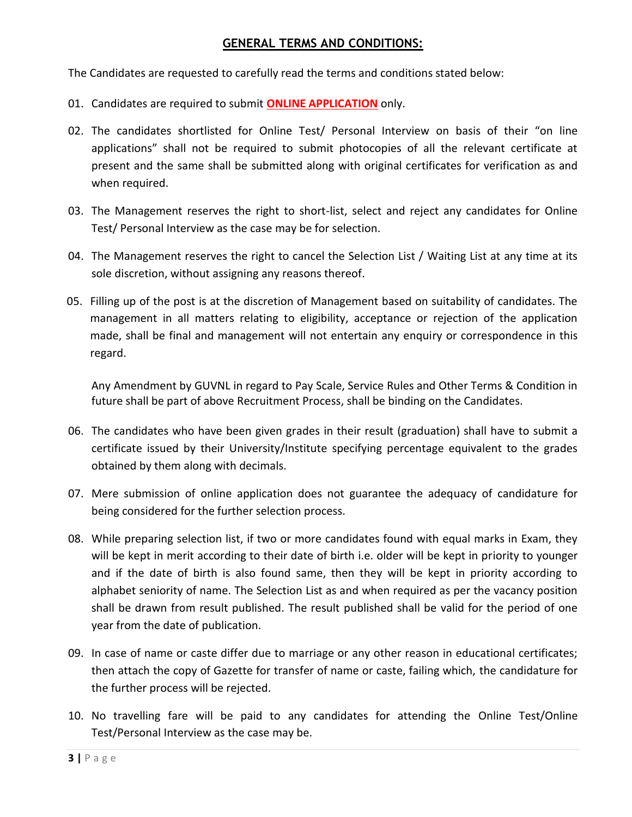#### **GENERAL TERMS AND CONDITIONS:**

The Candidates are requested to carefully read the terms and conditions stated below:

- 01. Candidates are required to submit **ONLINE APPLICATION** only.
- 02. The candidates shortlisted for Online Test/ Personal Interview on basis of their "on line applications" shall not be required to submit photocopies of all the relevant certificate at present and the same shall be submitted along with original certificates for verification as and when required.
- 03. The Management reserves the right to short-list, select and reject any candidates for Online Test/ Personal Interview as the case may be for selection.
- 04. The Management reserves the right to cancel the Selection List / Waiting List at any time at its sole discretion, without assigning any reasons thereof.
- 05. Filling up of the post is at the discretion of Management based on suitability of candidates. The management in all matters relating to eligibility, acceptance or rejection of the application made, shall be final and management will not entertain any enquiry or correspondence in this regard.

Any Amendment by GUVNL in regard to Pay Scale, Service Rules and Other Terms & Condition in future shall be part of above Recruitment Process, shall be binding on the Candidates.

- 06. The candidates who have been given grades in their result (graduation) shall have to submit a certificate issued by their University/Institute specifying percentage equivalent to the grades obtained by them along with decimals.
- 07. Mere submission of online application does not guarantee the adequacy of candidature for being considered for the further selection process.
- 08. While preparing selection list, if two or more candidates found with equal marks in Exam, they will be kept in merit according to their date of birth i.e. older will be kept in priority to younger and if the date of birth is also found same, then they will be kept in priority according to alphabet seniority of name. The Selection List as and when required as per the vacancy position shall be drawn from result published. The result published shall be valid for the period of one year from the date of publication.
- 09. In case of name or caste differ due to marriage or any other reason in educational certificates; then attach the copy of Gazette for transfer of name or caste, failing which, the candidature for the further process will be rejected.
- 10. No travelling fare will be paid to any candidates for attending the Online Test/Online Test/Personal Interview as the case may be.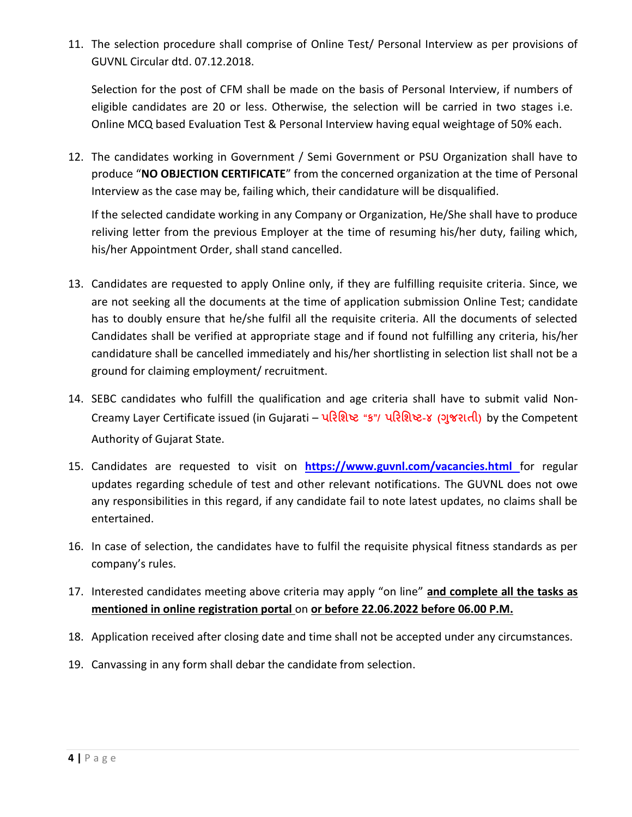11. The selection procedure shall comprise of Online Test/ Personal Interview as per provisions of GUVNL Circular dtd. 07.12.2018.

Selection for the post of CFM shall be made on the basis of Personal Interview, if numbers of eligible candidates are 20 or less. Otherwise, the selection will be carried in two stages i.e. Online MCQ based Evaluation Test & Personal Interview having equal weightage of 50% each.

12. The candidates working in Government / Semi Government or PSU Organization shall have to produce "**NO OBJECTION CERTIFICATE**" from the concerned organization at the time of Personal Interview as the case may be, failing which, their candidature will be disqualified.

If the selected candidate working in any Company or Organization, He/She shall have to produce reliving letter from the previous Employer at the time of resuming his/her duty, failing which, his/her Appointment Order, shall stand cancelled.

- 13. Candidates are requested to apply Online only, if they are fulfilling requisite criteria. Since, we are not seeking all the documents at the time of application submission Online Test; candidate has to doubly ensure that he/she fulfil all the requisite criteria. All the documents of selected Candidates shall be verified at appropriate stage and if found not fulfilling any criteria, his/her candidature shall be cancelled immediately and his/her shortlisting in selection list shall not be a ground for claiming employment/ recruitment.
- 14. SEBC candidates who fulfill the qualification and age criteria shall have to submit valid Non-Creamy Layer Certificate issued (in Gujarati – **પરિશિષ્ટ "ક"/ પરિશિષ્ટ-૪ (ગજુ િાતી)** by the Competent Authority of Gujarat State.
- 15. Candidates are requested to visit on **[https://www.guvnl.com/vacancies.html](http://www.guvnl.com/guvnl/vacancies.aspx)** for regular updates regarding schedule of test and other relevant notifications. The GUVNL does not owe any responsibilities in this regard, if any candidate fail to note latest updates, no claims shall be entertained.
- 16. In case of selection, the candidates have to fulfil the requisite physical fitness standards as per company's rules.
- 17. Interested candidates meeting above criteria may apply "on line" **and complete all the tasks as mentioned in online registration portal** on **or before 22.06.2022 before 06.00 P.M.**
- 18. Application received after closing date and time shall not be accepted under any circumstances.
- 19. Canvassing in any form shall debar the candidate from selection.